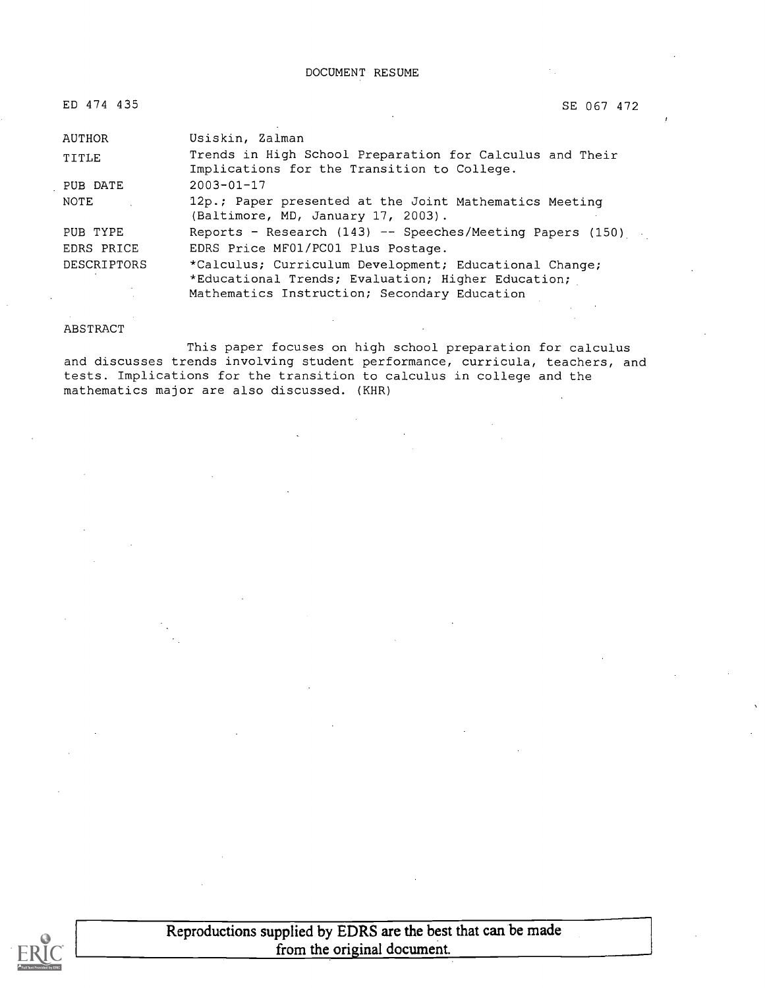DOCUMENT RESUME

| ED 474 435  | SE 067 472                                                                                                                                                   |
|-------------|--------------------------------------------------------------------------------------------------------------------------------------------------------------|
|             |                                                                                                                                                              |
| AUTHOR      | Usiskin, Zalman                                                                                                                                              |
| TITLE       | Trends in High School Preparation for Calculus and Their<br>Implications for the Transition to College.                                                      |
| PUB DATE    | $2003 - 01 - 17$                                                                                                                                             |
| NOTE        | 12p.; Paper presented at the Joint Mathematics Meeting<br>(Baltimore, MD, January 17, 2003).                                                                 |
| PUB TYPE    | Reports - Research $(143)$ -- Speeches/Meeting Papers $(150)$                                                                                                |
| EDRS PRICE  | EDRS Price MF01/PC01 Plus Postage.                                                                                                                           |
| DESCRIPTORS | *Calculus; Curriculum Development; Educational Change;<br>*Educational Trends; Evaluation; Higher Education;<br>Mathematics Instruction; Secondary Education |

#### ABSTRACT

This paper focuses on high school preparation for calculus and discusses trends involving student performance, curricula, teachers, and tests. Implications for the transition to calculus in college and the mathematics major are also discussed. (KHR)



Reproductions supplied by EDRS are the best that can be made from the original document.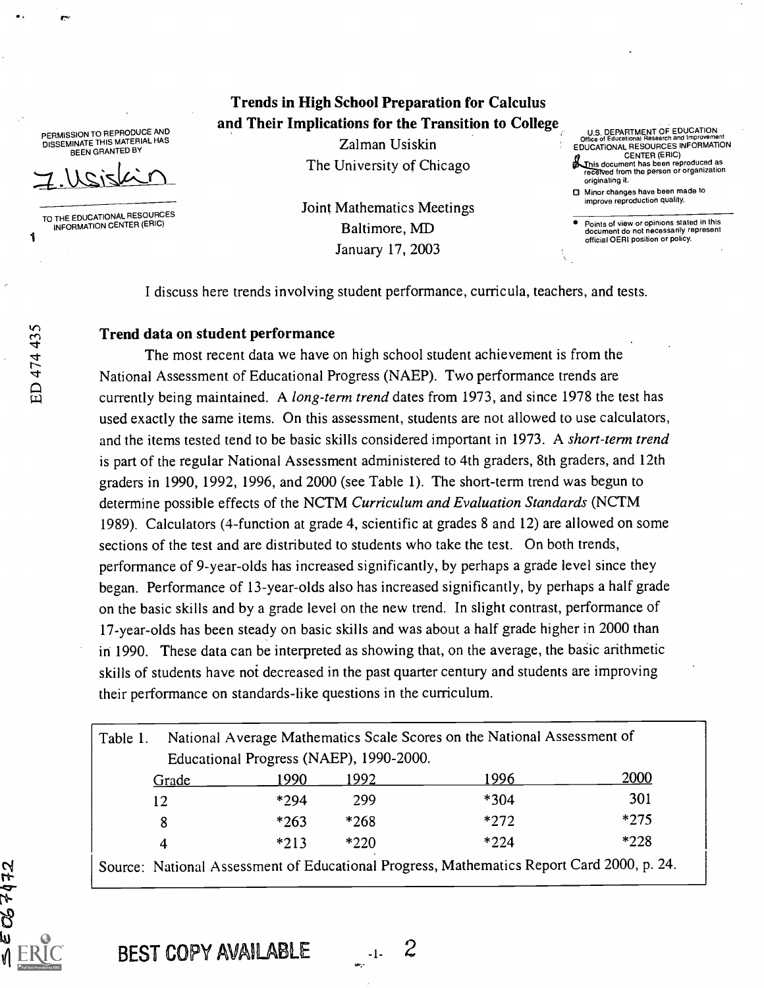PERMISSION TO REPRODUCE AND DISSEMINATE THIS MATERIAL HAS BEEN GRANTED BY

TO THE EDUCATIONAL RESOURCES<br>INFORMATION CENTER (ERIC)<br>1

ED 474 435

**OS 7472** 

Trends in High School Preparation for Calculus and Their Implications for the Transition to College

> Zalman Usiskin The University of Chicago

Joint Mathematics Meetings Baltimore, MD January 17, 2003

U.S. DEPARTMENT OF EDUCATION Office of Educational Research and Improvement EDUCATIONAL RESOURCES INFORMATION CENTER (ERIC)

- This document has been reproduced as<br>received from the person or organization originating it.
- Minor changes have been made to improve reproduction quality.

Points of view or opinions stated in this document do not necessarily represent official OERI position or policy.

I discuss here trends involving student performance, curricula, teachers, and tests.

#### Trend data on student performance

The most recent data we have on high school student achievement is from the National Assessment of Educational Progress (NAEP). Two performance trends are currently being maintained. A long-term trend dates from 1973, and since 1978 the test has used exactly the same items. On this assessment, students are not allowed to use calculators, and the items tested tend to be basic skills considered important in 1973. A short-term trend is part of the regular National Assessment administered to 4th graders, 8th graders, and 12th graders in 1990, 1992, 1996, and 2000 (see Table 1). The short-term trend was begun to determine possible effects of the NCTM Curriculum and Evaluation Standards (NCTM 1989). Calculators (4-function at grade 4, scientific at grades 8 and 12) are allowed on some sections of the test and are distributed to students who take the test. On both trends, performance of 9-year-olds has increased significantly, by perhaps a grade level since they began. Performance of 13-year-olds also has increased significantly, by perhaps a half grade on the basic skills and by a grade level on the new trend. In slight contrast, performance of 17-year-olds has been steady on basic skills and was about a half grade higher in 2000 than in 1990. These data can be interpreted as showing that, on the average, the basic arithmetic skills of students have not decreased in the past quarter century and students are improving their performance on standards-like questions in the curriculum.

| Table 1. |        |                                         | National Average Mathematics Scale Scores on the National Assessment of                   |        |
|----------|--------|-----------------------------------------|-------------------------------------------------------------------------------------------|--------|
|          |        | Educational Progress (NAEP), 1990-2000. |                                                                                           |        |
| Grade    | 1990.  | 1992.                                   | 1996.                                                                                     | 2000   |
| 12       | *294   | 299                                     | $*304$                                                                                    | 301    |
| 8        | $*263$ | $*268$                                  | $*272$                                                                                    | $*275$ |
| 4        | $*213$ | $*220$                                  | $*224$                                                                                    | $*228$ |
|          |        |                                         | Source: National Assessment of Educational Progress, Mathematics Report Card 2000, p. 24. |        |

BEST COPY AVAILABLE 1. 2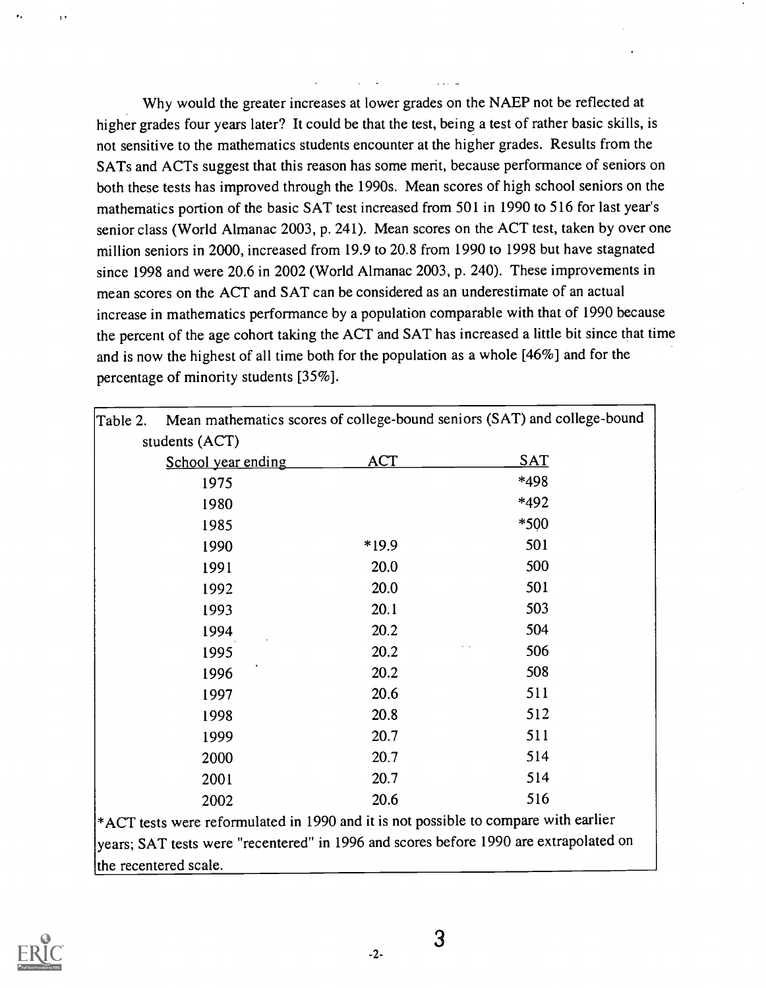Why would the greater increases at lower grades on the NAEP not be reflected at higher grades four years later? It could be that the test, being a test of rather basic skills, is not sensitive to the mathematics students encounter at the higher grades. Results from the SATs and ACTs suggest that this reason has some merit, because performance of seniors on both these tests has improved through the 1990s. Mean scores of high school seniors on the mathematics portion of the basic SAT test increased from 501 in 1990 to 516 for last year's senior class (World Almanac 2003, p. 241). Mean scores on the ACT test, taken by over one million seniors in 2000, increased from 19.9 to 20.8 from 1990 to 1998 but have stagnated since 1998 and were 20.6 in 2002 (World Almanac 2003, p. 240). These improvements in mean scores on the ACT and SAT can be considered as an underestimate of an actual increase in mathematics performance by a population comparable with that of 1990 because the percent of the age cohort taking the ACT and SAT has increased a little bit since that time and is now the highest of all time both for the population as a whole [46%] and for the percentage of minority students [35%].

| Table 2. |                       |            | Mean mathematics scores of college-bound seniors (SAT) and college-bound               |
|----------|-----------------------|------------|----------------------------------------------------------------------------------------|
|          | students (ACT)        |            |                                                                                        |
|          | School year ending    | <u>ACT</u> | <u>SAT</u>                                                                             |
|          | 1975                  |            | *498                                                                                   |
|          | 1980                  |            | *492                                                                                   |
|          | 1985                  |            | *500                                                                                   |
|          | 1990                  | *19.9      | 501                                                                                    |
|          | 1991                  | 20.0       | 500                                                                                    |
|          | 1992                  | 20.0       | 501                                                                                    |
|          | 1993                  | 20.1       | 503                                                                                    |
|          | 1994                  | 20.2       | 504                                                                                    |
|          | 1995                  | 20.2       | 506                                                                                    |
|          | 1996                  | 20.2       | 508                                                                                    |
|          | 1997                  | 20.6       | 511                                                                                    |
|          | 1998                  | 20.8       | 512                                                                                    |
|          | 1999                  | 20.7       | 511                                                                                    |
|          | 2000                  | 20.7       | 514                                                                                    |
|          | 2001                  | 20.7       | 514                                                                                    |
|          | 2002                  | 20.6       | 516                                                                                    |
|          |                       |            | $*$ ACT tests were reformulated in 1990 and it is not possible to compare with earlier |
|          |                       |            | years; SAT tests were "recentered" in 1996 and scores before 1990 are extrapolated on  |
|          | the recentered scale. |            |                                                                                        |



 $-2-$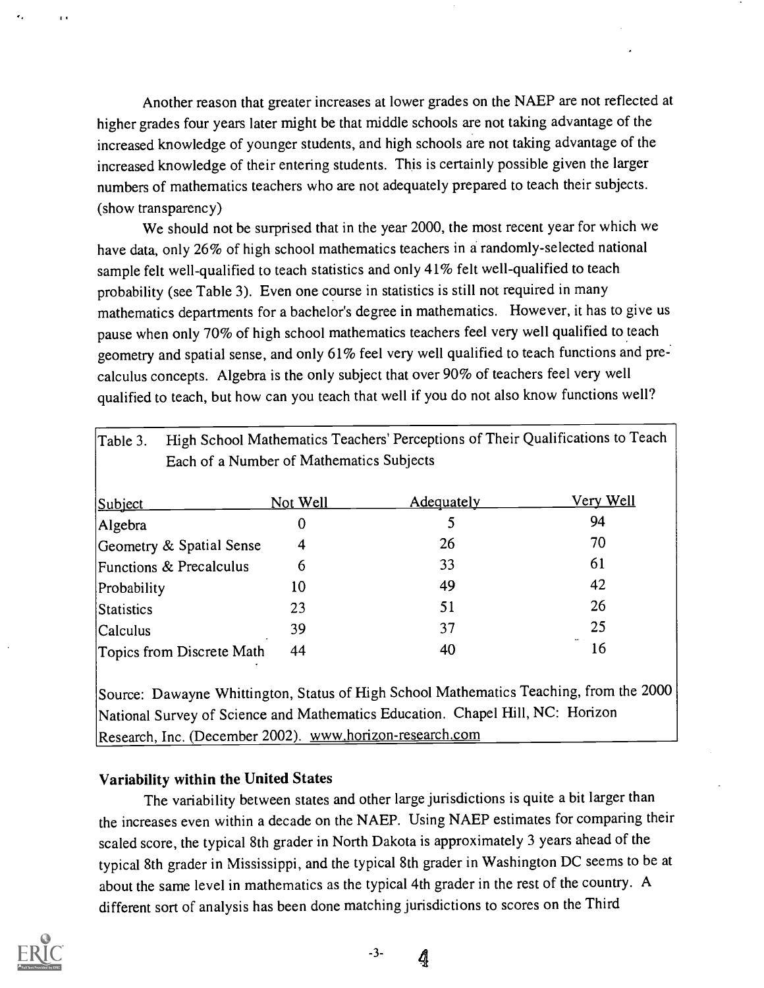Another reason that greater increases at lower grades on the NAEP are not reflected at higher grades four years later might be that middle schools are not taking advantage of the increased knowledge of younger students, and high schools are not taking advantage of the increased knowledge of their entering students. This is certainly possible given the larger numbers of mathematics teachers who are not adequately prepared to teach their subjects. (show transparency)

We should not be surprised that in the year 2000, the most recent year for which we have data, only 26% of high school mathematics teachers in a randomly-selected national sample felt well-qualified to teach statistics and only 41% felt well-qualified to teach probability (see Table 3). Even one course in statistics is still not required in many mathematics departments for a bachelor's degree in mathematics. However, it has to give us pause when only 70% of high school mathematics teachers feel very well qualified to teach geometry and spatial sense, and only 61% feel very well qualified to teach functions and precalculus concepts. Algebra is the only subject that over 90% of teachers feel very well qualified to teach, but how can you teach that well if you do not also know functions well?

| Table 3.                                 | High School Mathematics Teachers' Perceptions of Their Qualifications to Teach |            |                  |  |
|------------------------------------------|--------------------------------------------------------------------------------|------------|------------------|--|
| Each of a Number of Mathematics Subjects |                                                                                |            |                  |  |
| Subject                                  | Not Well                                                                       | Adequately | <u>Very Well</u> |  |
| Algebra                                  | 0                                                                              |            | 94               |  |
| Geometry & Spatial Sense                 | 4                                                                              | 26         | 70               |  |
| Functions & Precalculus                  | 6                                                                              | 33         | 61               |  |
| Probability                              | 10                                                                             | 49         | 42               |  |
| Statistics                               | 23                                                                             | 51         | 26               |  |
| <b>Calculus</b>                          | 39                                                                             | 37         | 25               |  |
| Topics from Discrete Math                | 44                                                                             | 40         | 16               |  |
|                                          |                                                                                |            |                  |  |

Source: Dawayne Whittington, Status of High School Mathematics Teaching, from the 2000 National Survey of Science and Mathematics Education. Chapel Hill, NC: Horizon Research, Inc. (December 2002). www.horizon-research.com

#### Variability within the United States

The variability between states and other large jurisdictions is quite a bit larger than the increases even within a decade on the NAEP. Using NAEP estimates for comparing their scaled score, the typical 8th grader in North Dakota is approximately 3 years ahead of the typical 8th grader in Mississippi, and the typical 8th grader in Washington DC seems to be at about the same level in mathematics as the typical 4th grader in the rest of the country. A different sort of analysis has been done matching jurisdictions to scores on the Third

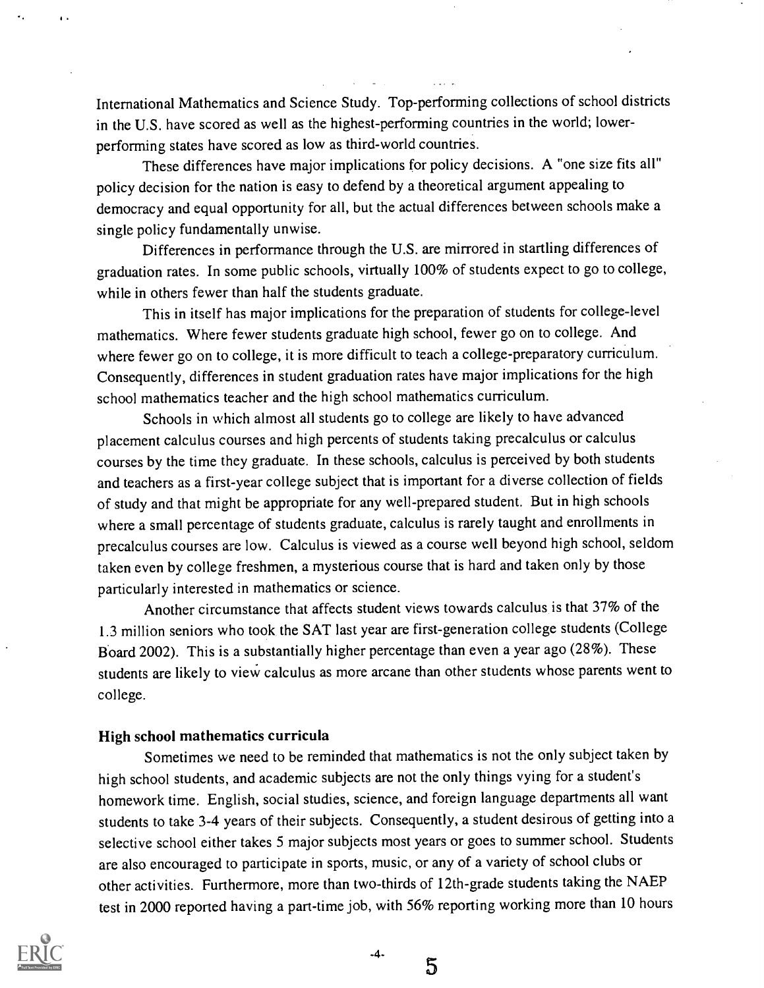International Mathematics and Science Study. Top-performing collections of school districts in the U.S. have scored as well as the highest-performing countries in the world; lowerperforming states have scored as low as third-world countries.

These differences have major implications for policy decisions. A "one size fits all" policy decision for the nation is easy to defend by a theoretical argument appealing to democracy and equal opportunity for all, but the actual differences between schools make a single policy fundamentally unwise.

Differences in performance through the U.S. are mirrored in startling differences of graduation rates. In some public schools, virtually 100% of students expect to go to college, while in others fewer than half the students graduate.

This in itself has major implications for the preparation of students for college-level mathematics. Where fewer students graduate high school, fewer go on to college. And where fewer go on to college, it is more difficult to teach a college-preparatory curriculum. Consequently, differences in student graduation rates have major implications for the high school mathematics teacher and the high school mathematics curriculum.

Schools in which almost all students go to college are likely to have advanced placement calculus courses and high percents of students taking precalculus or calculus courses by the time they graduate. In these schools, calculus is perceived by both students and teachers as a first-year college subject that is important for a diverse collection of fields of study and that might be appropriate for any well-prepared student. But in high schools where a small percentage of students graduate, calculus is rarely taught and enrollments in precalculus courses are low. Calculus is viewed as a course well beyond high school, seldom taken even by college freshmen, a mysterious course that is hard and taken only by those particularly interested in mathematics or science.

Another circumstance that affects student views towards calculus is that 37% of the 1.3 million seniors who took the SAT last year are first-generation college students (College Board 2002). This is a substantially higher percentage than even a year ago (28%). These students are likely to view calculus as more arcane than other students whose parents went to college.

#### High school mathematics curricula

Sometimes we need to be reminded that mathematics is not the only subject taken by high school students, and academic subjects are not the only things vying for a student's homework time. English, social studies, science, and foreign language departments all want students to take 3-4 years of their subjects. Consequently, a student desirous of getting into a selective school either takes 5 major subjects most years or goes to summer school. Students are also encouraged to participate in sports, music, or any of a variety of school clubs or other activities. Furthermore, more than two-thirds of 12th-grade students taking the NAEP test in 2000 reported having a part-time job, with 56% reporting working more than 10 hours



 $-4-$ 

5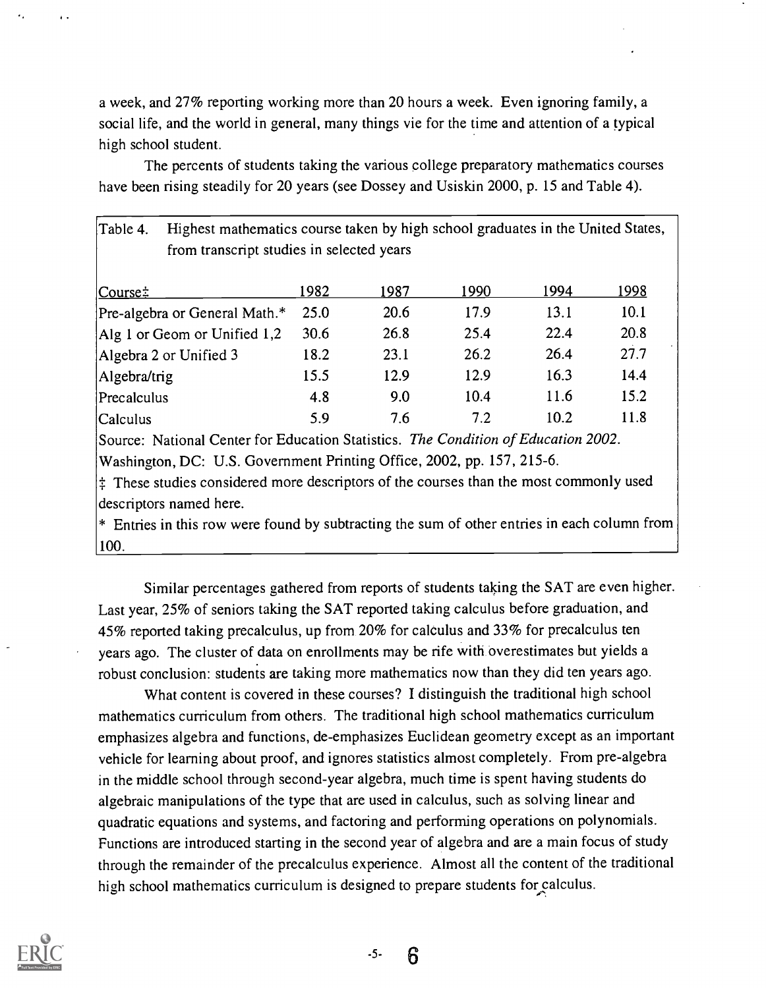a week, and 27% reporting working more than 20 hours a week. Even ignoring family, a social life, and the world in general, many things vie for the time and attention of a typical high school student.

The percents of students taking the various college preparatory mathematics courses have been rising steadily for 20 years (see Dossey and Usiskin 2000, p. 15 and Table 4).

| Highest mathematics course taken by high school graduates in the United States,<br>Table 4.<br>from transcript studies in selected years |      |      |      |      |      |
|------------------------------------------------------------------------------------------------------------------------------------------|------|------|------|------|------|
| $ Course$ :                                                                                                                              | 1982 | 1987 | 1990 | 1994 | 1998 |
| Pre-algebra or General Math.*                                                                                                            | 25.0 | 20.6 | 17.9 | 13.1 | 10.1 |
| Alg 1 or Geom or Unified $1,2$                                                                                                           | 30.6 | 26.8 | 25.4 | 22.4 | 20.8 |
| Algebra 2 or Unified 3                                                                                                                   | 18.2 | 23.1 | 26.2 | 26.4 | 27.7 |
| Algebra/trig                                                                                                                             | 15.5 | 12.9 | 12.9 | 16.3 | 14.4 |
| Precalculus                                                                                                                              | 4.8  | 9.0  | 10.4 | 11.6 | 15.2 |
| Calculus                                                                                                                                 | 5.9  | 7.6  | 7.2  | 10.2 | 11.8 |

Source: National Center for Education Statistics. The Condition of Education 2002. Washington, DC: U.S. Government Printing Office, 2002, pp. 157, 215-6.

 $\frac{1}{4}$  These studies considered more descriptors of the courses than the most commonly used descriptors named here.

\* Entries in this row were found by subtracting the sum of other entries in each column from 100.

Similar percentages gathered from reports of students taking the SAT are even higher. Last year, 25% of seniors taking the SAT reported taking calculus before graduation, and 45% reported taking precalculus, up from 20% for calculus and 33% for precalculus ten years ago. The cluster of data on enrollments may be rife with overestimates but yields a robust conclusion: students are taking more mathematics now than they did ten years ago.

What content is covered in these courses? I distinguish the traditional high school mathematics curriculum from others. The traditional high school mathematics curriculum emphasizes algebra and functions, de-emphasizes Euclidean geometry except as an important vehicle for learning about proof, and ignores statistics almost completely. From pre-algebra in the middle school through second-year algebra, much time is spent having students do algebraic manipulations of the type that are used in calculus, such as solving linear and quadratic equations and systems, and factoring and performing operations on polynomials. Functions are introduced starting in the second year of algebra and are a main focus of study through the remainder of the precalculus experience. Almost all the content of the traditional high school mathematics curriculum is designed to prepare students for calculus.



 $-5-$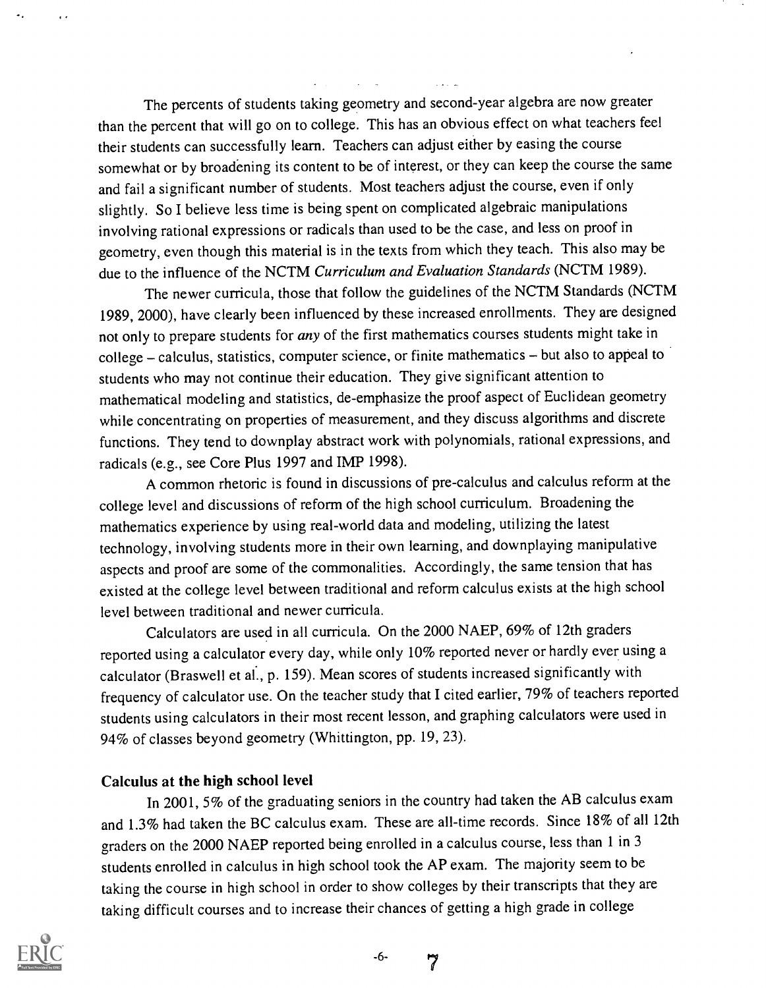The percents of students taking geometry and second-year algebra are now greater than the percent that will go on to college. This has an obvious effect on what teachers feel their students can successfully learn. Teachers can adjust either by easing the course somewhat or by broadening its content to be of interest, or they can keep the course the same and fail a significant number of students. Most teachers adjust the course, even if only slightly. So I believe less time is being spent on complicated algebraic manipulations involving rational expressions or radicals than used to be the case, and less on proof in geometry, even though this material is in the texts from which they teach. This also may be due to the influence of the NCTM Curriculum and Evaluation Standards (NCTM 1989).

The newer curricula, those that follow the guidelines of the NCTM Standards (NCTM 1989, 2000), have clearly been influenced by these increased enrollments. They are designed not only to prepare students for any of the first mathematics courses students might take in college – calculus, statistics, computer science, or finite mathematics – but also to appeal to students who may not continue their education. They give significant attention to mathematical modeling and statistics, de-emphasize the proof aspect of Euclidean geometry while concentrating on properties of measurement, and they discuss algorithms and discrete functions. They tend to downplay abstract work with polynomials, rational expressions, and radicals (e.g., see Core Plus 1997 and IMP 1998).

A common rhetoric is found in discussions of pre-calculus and calculus reform at the college level and discussions of reform of the high school curriculum. Broadening the mathematics experience by using real-world data and modeling, utilizing the latest technology, involving students more in their own learning, and downplaying manipulative aspects and proof are some of the commonalities. Accordingly, the same tension that has existed at the college level between traditional and reform calculus exists at the high school level between traditional and newer curricula.

Calculators are used in all curricula. On the 2000 NAEP, 69% of 12th graders reported using a calculator every day, while only 10% reported never or hardly ever using a calculator (Braswell et al., p. 159). Mean scores of students increased significantly with frequency of calculator use. On the teacher study that I cited earlier, 79% of teachers reported students using calculators in their most recent lesson, and graphing calculators were used in 94% of classes beyond geometry (Whittington, pp. 19, 23).

#### Calculus at the high school level

In 2001, 5% of the graduating seniors in the country had taken the AB calculus exam and 1.3% had taken the BC calculus exam. These are all-time records. Since 18% of all 12th graders on the 2000 NAEP reported being enrolled in a calculus course, less than 1 in 3 students enrolled in calculus in high school took the AP exam. The majority seem to be taking the course in high school in order to show colleges by their transcripts that they are taking difficult courses and to increase their chances of getting a high grade in college

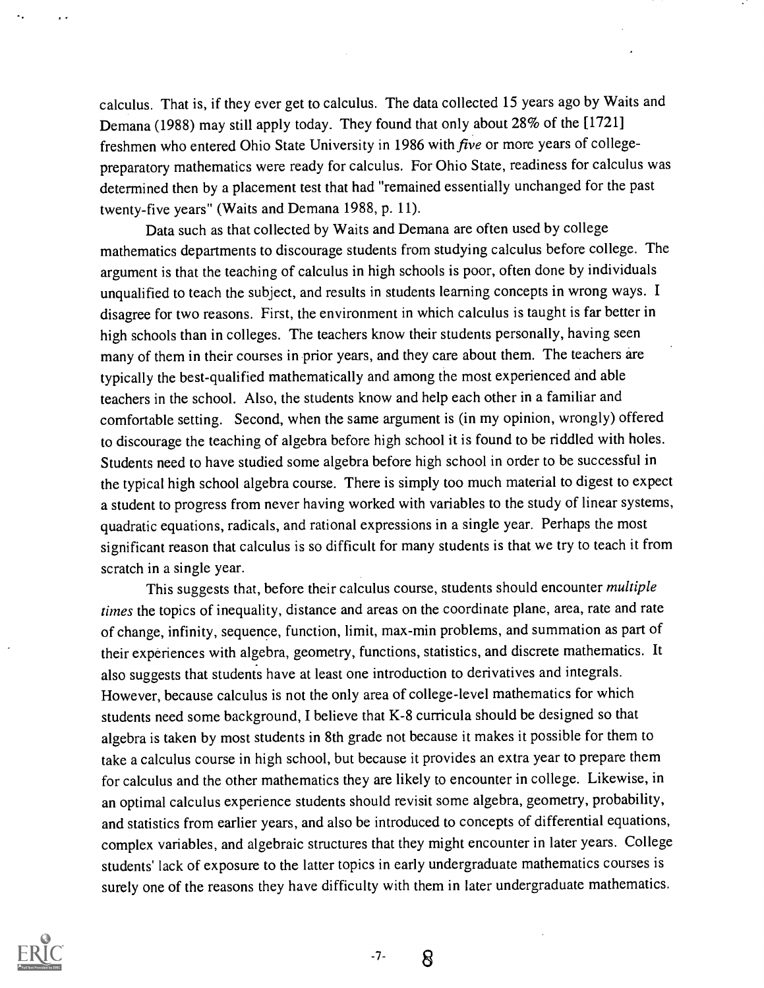calculus. That is, if they ever get to calculus. The data collected 15 years ago by Waits and Demana (1988) may still apply today. They found that only about 28% of the [1721] freshmen who entered Ohio State University in 1986 with five or more years of collegepreparatory mathematics were ready for calculus. For Ohio State, readiness for calculus was determined then by a placement test that had "remained essentially unchanged for the past twenty-five years" (Waits and Demana 1988, p. 11).

Data such as that collected by Waits and Demana are often used by college mathematics departments to discourage students from studying calculus before college. The argument is that the teaching of calculus in high schools is poor, often done by individuals unqualified to teach the subject, and results in students learning concepts in wrong ways. I disagree for two reasons. First, the environment in which calculus is taught is far better in high schools than in colleges. The teachers know their students personally, having seen many of them in their courses in prior years, and they care about them. The teachers are typically the best-qualified mathematically and among the most experienced and able teachers in the school. Also, the students know and help each other in a familiar and comfortable setting. Second, when the same argument is (in my opinion, wrongly) offered to discourage the teaching of algebra before high school it is found to be riddled with holes. Students need to have studied some algebra before high school in order to be successful in the typical high school algebra course. There is simply too much material to digest to expect a student to progress from never having worked with variables to the study of linear systems, quadratic equations, radicals, and rational expressions in a single year. Perhaps the most significant reason that calculus is so difficult for many students is that we try to teach it from scratch in a single year.

This suggests that, before their calculus course, students should encounter multiple times the topics of inequality, distance and areas on the coordinate plane, area, rate and rate of change, infinity, sequence, function, limit, max-min problems, and summation as part of their experiences with algebra, geometry, functions, statistics, and discrete mathematics. It also suggests that students have at least one introduction to derivatives and integrals. However, because calculus is not the only area of college-level mathematics for which students need some background, I believe that K-8 curricula should be designed so that algebra is taken by most students in 8th grade not because it makes it possible for them to take a calculus course in high school, but because it provides an extra year to prepare them for calculus and the other mathematics they are likely to encounter in college. Likewise, in an optimal calculus experience students should revisit some algebra, geometry, probability, and statistics from earlier years, and also be introduced to concepts of differential equations, complex variables, and algebraic structures that they might encounter in later years. College students' lack of exposure to the latter topics in early undergraduate mathematics courses is surely one of the reasons they have difficulty with them in later undergraduate mathematics.



 $-7-$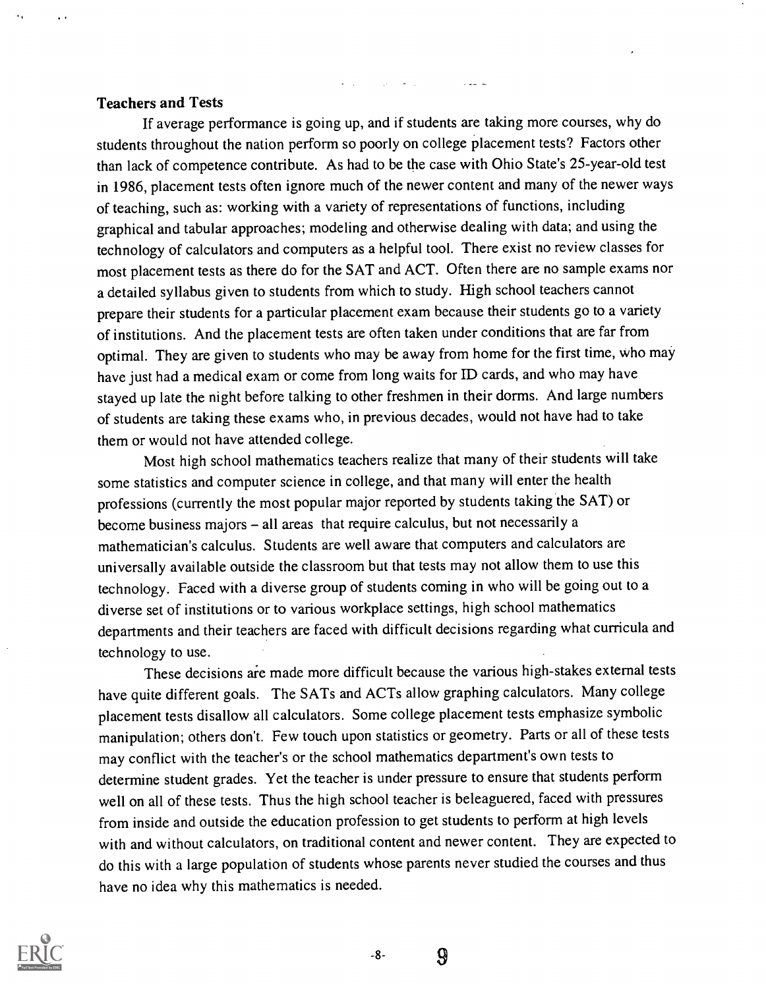#### Teachers and Tests

If average performance is going up, and if students are taking more courses, why do students throughout the nation perform so poorly on college placement tests? Factors other than lack of competence contribute. As had to be the case with Ohio State's 25-year-old test in 1986, placement tests often ignore much of the newer content and many of the newer ways of teaching, such as: working with a variety of representations of functions, including graphical and tabular approaches; modeling and otherwise dealing with data; and using the technology of calculators and computers as a helpful tool. There exist no review classes for most placement tests as there do for the SAT and ACT. Often there are no sample exams nor a detailed syllabus given to students from which to study. High school teachers cannot prepare their students for a particular placement exam because their students go to a variety of institutions. And the placement tests are often taken under conditions that are far from optimal. They are given to students who may be away from home for the first time, who may have just had a medical exam or come from long waits for ID cards, and who may have stayed up late the night before talking to other freshmen in their dorms. And large numbers of students are taking these exams who, in previous decades, would not have had to take them or would not have attended college.

Most high school mathematics teachers realize that many of their students will take some statistics and computer science in college, and that many will enter the health professions (currently the most popular major reported by students taking the SAT) or become business majors - all areas that require calculus, but not necessarily a mathematician's calculus. Students are well aware that computers and calculators are universally available outside the classroom but that tests may not allow them to use this technology. Faced with a diverse group of students coming in who will be going out to a diverse set of institutions or to various workplace settings, high school mathematics departments and their teachers are faced with difficult decisions regarding what curricula and technology to use.

These decisions are made more difficult because the various high-stakes external tests have quite different goals. The SATs and ACTs allow graphing calculators. Many college placement tests disallow all calculators. Some college placement tests emphasize symbolic manipulation; others don't. Few touch upon statistics or geometry. Parts or all of these tests may conflict with the teacher's or the school mathematics department's own tests to determine student grades. Yet the teacher is under pressure to ensure that students perform well on all of these tests. Thus the high school teacher is beleaguered, faced with pressures from inside and outside the education profession to get students to perform at high levels with and without calculators, on traditional content and newer content. They are expected to do this with a large population of students whose parents never studied the courses and thus have no idea why this mathematics is needed.



 $-8-$ 

9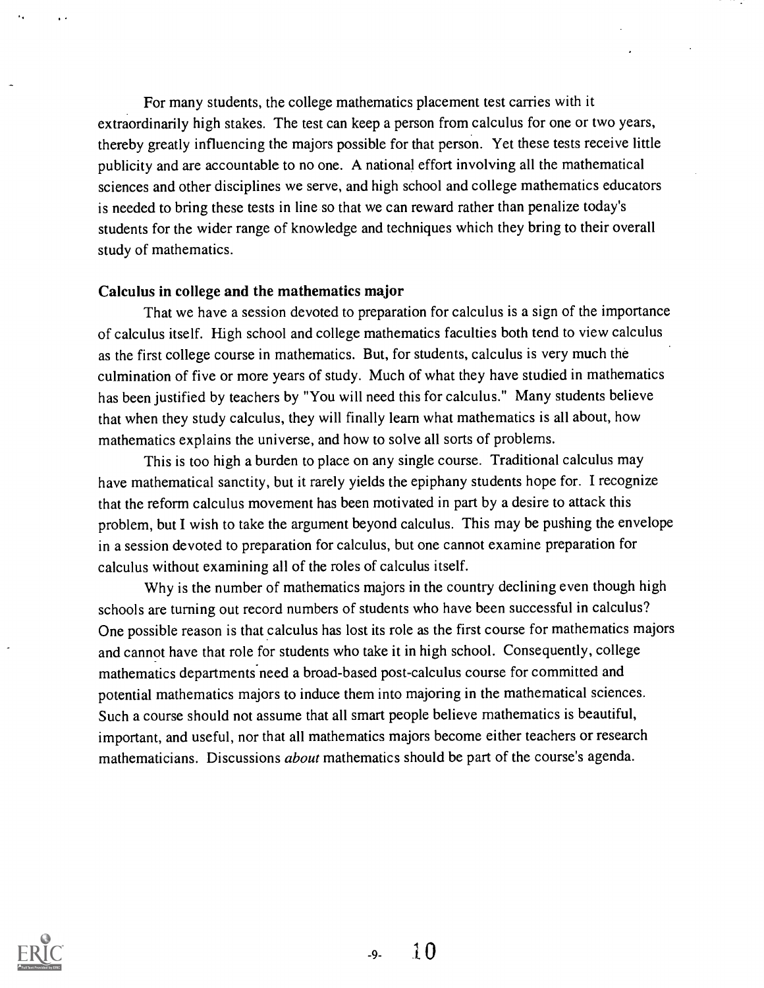For many students, the college mathematics placement test carries with it extraordinarily high stakes. The test can keep a person from calculus for one or two years, thereby greatly influencing the majors possible for that person. Yet these tests receive little publicity and are accountable to no one. A national effort involving all the mathematical sciences and other disciplines we serve, and high school and college mathematics educators is needed to bring these tests in line so that we can reward rather than penalize today's students for the wider range of knowledge and techniques which they bring to their overall study of mathematics.

#### Calculus in college and the mathematics major

That we have a session devoted to preparation for calculus is a sign of the importance of calculus itself. High school and college mathematics faculties both tend to view calculus as the first college course in mathematics. But, for students, calculus is very much the culmination of five or more years of study. Much of what they have studied in mathematics has been justified by teachers by "You will need this for calculus." Many students believe that when they study calculus, they will finally learn what mathematics is all about, how mathematics explains the universe, and how to solve all sorts of problems.

This is too high a burden to place on any single course. Traditional calculus may have mathematical sanctity, but it rarely yields the epiphany students hope for. I recognize that the reform calculus movement has been motivated in part by a desire to attack this problem, but I wish to take the argument beyond calculus. This may be pushing the envelope in a session devoted to preparation for calculus, but one cannot examine preparation for calculus without examining all of the roles of calculus itself.

Why is the number of mathematics majors in the country declining even though high schools are turning out record numbers of students who have been successful in calculus? One possible reason is that calculus has lost its role as the first course for mathematics majors and cannot have that role for students who take it in high school. Consequently, college mathematics departments'need a broad-based post-calculus course for committed and potential mathematics majors to induce them into majoring in the mathematical sciences. Such a course should not assume that all smart people believe mathematics is beautiful, important, and useful, nor that all mathematics majors become either teachers or research mathematicians. Discussions *about* mathematics should be part of the course's agenda.

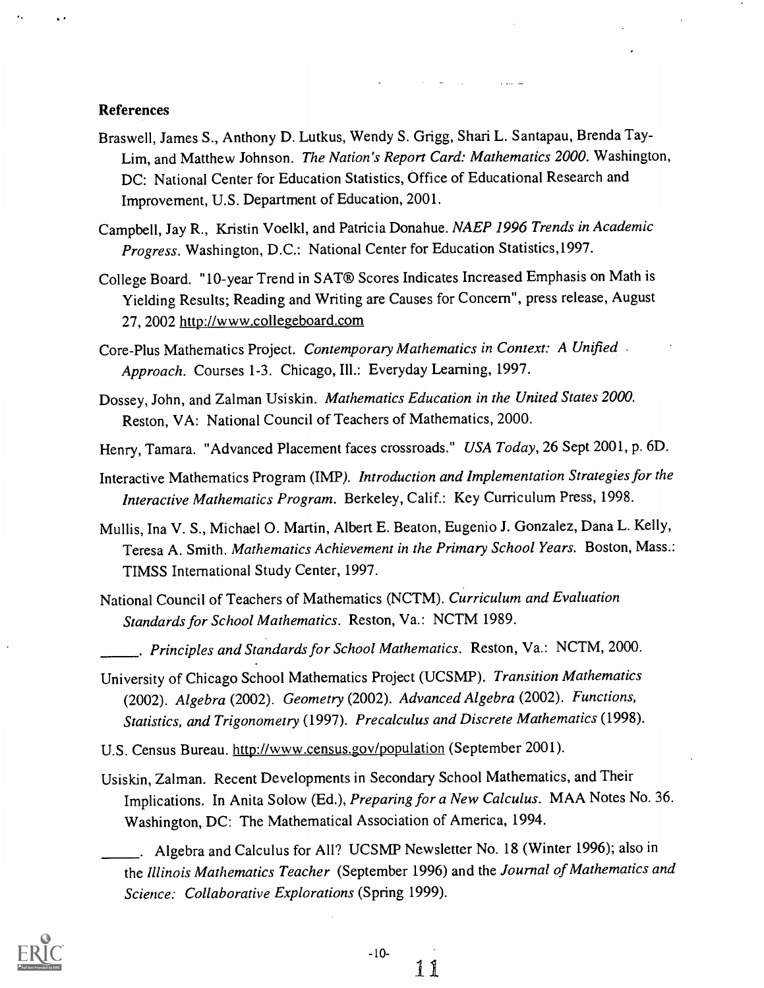#### References

- Braswell, James S., Anthony D. Lutkus, Wendy S. Grigg, Shari L. Santapau, Brenda Tay-Lim, and Matthew Johnson. The Nation's Report Card: Mathematics 2000. Washington, DC: National Center for Education Statistics, Office of Educational Research and Improvement, U.S. Department of Education, 2001.
- Campbell, Jay R., Kristin Voelkl, and Patricia Donahue. NAEP 1996 Trends in Academic Progress. Washington, D.C.: National Center for Education Statistics,1997.
- College Board. "10-year Trend in SAT® Scores Indicates Increased Emphasis on Math is Yielding Results; Reading and Writing are Causes for Concern", press release, August 27, 2002 http://www.collegeboard.com
- Core-Plus Mathematics Project. Contemporary Mathematics in Context: A Unified Approach. Courses 1-3. Chicago, Ill.: Everyday Learning, 1997.
- Dossey, John, and Zalman Usiskin. Mathematics Education in the United States 2000. Reston, VA: National Council of Teachers of Mathematics, 2000.
- Henry, Tamara. "Advanced Placement faces crossroads." USA Today, 26 Sept 2001, p. 6D.
- Interactive Mathematics Program (IMP). Introduction and Implementation Strategies for the Interactive Mathematics Program. Berkeley, Calif.: Key Curriculum Press, 1998.
- Mullis, Ina V. S., Michael 0. Martin, Albert E. Beaton, Eugenio J. Gonzalez, Dana L. Kelly, Teresa A. Smith. Mathematics Achievement in the Primary School Years. Boston, Mass.: TIMSS International Study Center, 1997.
- National Council of Teachers of Mathematics (NCTM). Curriculum and Evaluation Standards for School Mathematics. Reston, Va.: NCTM 1989.
- . Principles and Standards for School Mathematics. Reston, Va.: NCTM, 2000.
- University of Chicago School Mathematics Project (UCSMP). Transition Mathematics (2002). Algebra (2002). Geometry (2002). Advanced Algebra (2002). Functions, Statistics, and Trigonometry (1997). Precalculus and Discrete Mathematics (1998).
- U.S. Census Bureau. http://www.census.gov/population (September 2001).
- Usiskin, Zalman. Recent Developments in Secondary School Mathematics, andTheir Implications. In Anita Solow (Ed.), Preparing for a New Calculus. MAA Notes No. 36. Washington, DC: The Mathematical Association of America, 1994.

. Algebra and Calculus for All? UCSMP Newsletter No. 18 (Winter 1996); also in the Illinois Mathematics Teacher (September 1996) and the Journal of Mathematics and Science: Collaborative Explorations (Spring 1999).

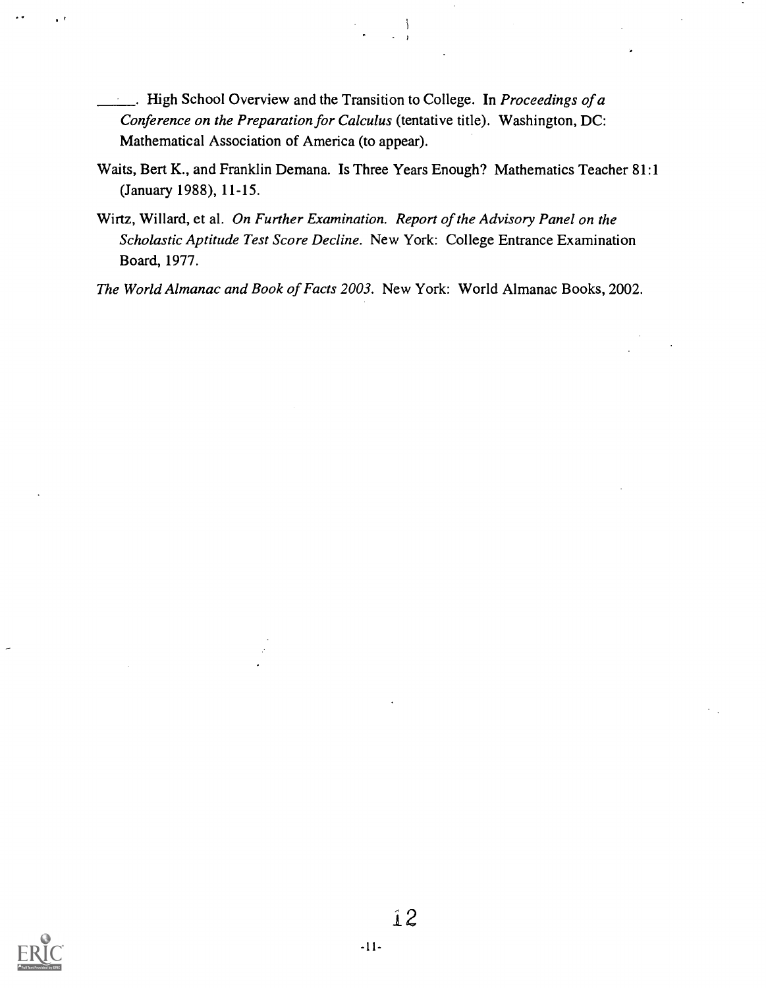- . High School Overview and the Transition to College. In *Proceedings of a* Conference on the Preparation for Calculus (tentative title). Washington, DC: Mathematical Association of America (to appear).
- Waits, Bert K., and Franklin Demana. Is Three Years Enough? Mathematics Teacher 81:1 (January 1988), 11-15.

 $\frac{1}{2}$ 

Wirtz, Willard, et al. On Further Examination. Report of the Advisory Panel on the Scholastic Aptitude Test Score Decline. New York: College Entrance Examination Board, 1977.

The World Almanac and Book of Facts 2003. New York: World Almanac Books, 2002.

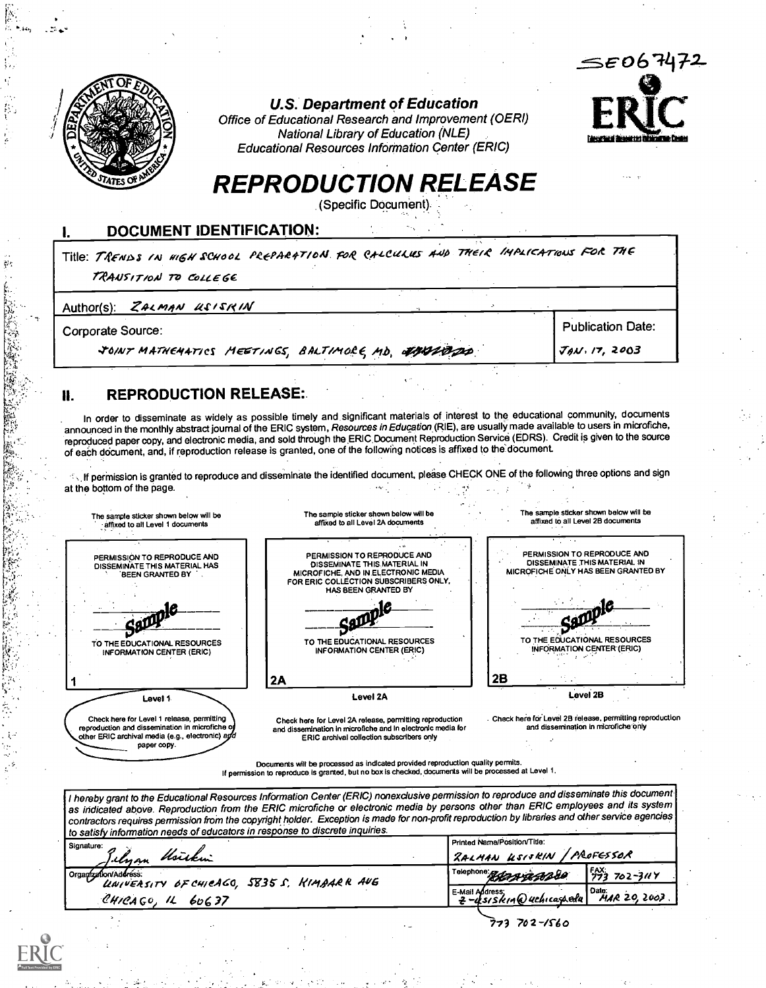

U.S. Department of Education



Office of Educational Research and Improvement (OERI) National Library of Education (NLE) Educational Resources Information Center (ERIC)

# REPRODUCTION RELEASE

(Specific Document).

#### I. DOCUMENT IDENTIFICATION:

Title: TRENISS IN HIGH SCHOOL PREPARATION FOR CALCULUS AND THEIR IMPLICATIONS FOR THE TRANSITION TO COLLEGE

Author(s):  $ZA \cup A \cup B \cup B \cap A$ 

Corporate Source:

JOINT MATHEMATICS MEETINGS, BALTIMOLE MD. 47442000

Publication Date:  $JAN, 17, 2003$ 

### **II. REPRODUCTION RELEASE:**

. In order to disseminate as widely as possible timely and significant materials of interest to the educational community, documents announced in the monthly abstract journal of the ERIC system, Resources in Education (RIE), are usually made available to users in microfiche, reproduced paper copy, and electronic media, and sold through the ERIC Document Reproduction Service (EDRS). Credit is given to the source of each document, and, if reproduction release is granted, one of the following notices is affixed to the document.

IN If permission is granted to reproduce and disseminate the identified document, please CHECK ONE of the following three options and sign at the bottom of the page.



Check here for Level 1 release, permitting reproduction and dissemination in microfiche of<br>other ERIC archival media (e.g., electronic) a*gd* paper copy.

Check here for Level 2A release, permitting reproduction and dissemination In microfiche and In electronic media for ERIC archival collection subscribers only

Check here for Level 2B release, permitting reproduction and dissemination in microfiche'Ortly

Documents will be processed as indicated provided reproduction quality permits. If permission to reproduce is granted, but no box is checked, documents will be p

I hereby grant to the Educational Resources Information Center (ERIC) nonexclusive permission to reproduce and disseminate this document as indicated above. Reproduction from the ERIC microfiche or electronic media by persons other than ERIC employees and its system contractors requires permission from the copyright holder. Exception is made for non-profit reproduction by libraries and other service agencies peads of educators in response to discrete inquiries.

| <u>to sation mitomianon nooso of seesees</u><br>Signature:<br>Tilyan <i>Usirkin</i> | Printed Name/Position/Title:<br>RALMAN USISKIN / PROFESSOR                       |  |  |
|-------------------------------------------------------------------------------------|----------------------------------------------------------------------------------|--|--|
| Organization/Address.<br>UNIVERSITY OF CHICAGO, 5835 S. KIMBARK AUG                 | $\frac{150}{273}$ 702-3117<br>Telephone: 2000 2000                               |  |  |
| CHICAGO, IL<br>6υ 6 37                                                              | Date:<br>LE-Mail Address;<br>$HAR$ 20, 2007.<br>$2 - 4s$ s/ $s$ kin @uchicaspedu |  |  |
|                                                                                     | 773 702-1560                                                                     |  |  |